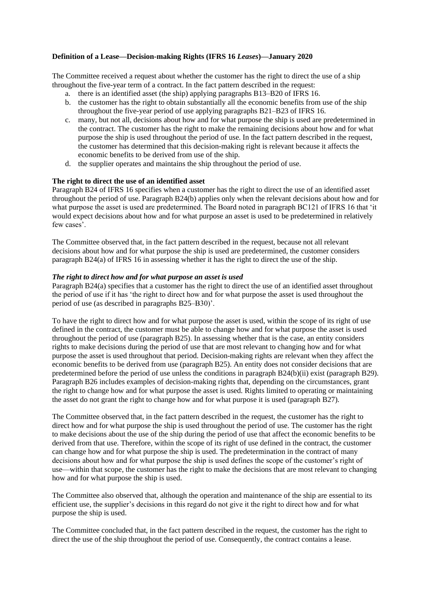## **Definition of a Lease—Decision-making Rights (IFRS 16** *Leases***)—January 2020**

The Committee received a request about whether the customer has the right to direct the use of a ship throughout the five-year term of a contract. In the fact pattern described in the request:

- a. there is an identified asset (the ship) applying paragraphs B13–B20 of IFRS 16.
- b. the customer has the right to obtain substantially all the economic benefits from use of the ship throughout the five-year period of use applying paragraphs B21–B23 of IFRS 16.
- c. many, but not all, decisions about how and for what purpose the ship is used are predetermined in the contract. The customer has the right to make the remaining decisions about how and for what purpose the ship is used throughout the period of use. In the fact pattern described in the request, the customer has determined that this decision-making right is relevant because it affects the economic benefits to be derived from use of the ship.
- d. the supplier operates and maintains the ship throughout the period of use.

## **The right to direct the use of an identified asset**

Paragraph B24 of IFRS 16 specifies when a customer has the right to direct the use of an identified asset throughout the period of use. Paragraph B24(b) applies only when the relevant decisions about how and for what purpose the asset is used are predetermined. The Board noted in paragraph BC121 of IFRS 16 that 'it would expect decisions about how and for what purpose an asset is used to be predetermined in relatively few cases'.

The Committee observed that, in the fact pattern described in the request, because not all relevant decisions about how and for what purpose the ship is used are predetermined, the customer considers paragraph B24(a) of IFRS 16 in assessing whether it has the right to direct the use of the ship.

## *The right to direct how and for what purpose an asset is used*

Paragraph B24(a) specifies that a customer has the right to direct the use of an identified asset throughout the period of use if it has 'the right to direct how and for what purpose the asset is used throughout the period of use (as described in paragraphs B25–B30)'.

To have the right to direct how and for what purpose the asset is used, within the scope of its right of use defined in the contract, the customer must be able to change how and for what purpose the asset is used throughout the period of use (paragraph B25). In assessing whether that is the case, an entity considers rights to make decisions during the period of use that are most relevant to changing how and for what purpose the asset is used throughout that period. Decision-making rights are relevant when they affect the economic benefits to be derived from use (paragraph B25). An entity does not consider decisions that are predetermined before the period of use unless the conditions in paragraph B24(b)(ii) exist (paragraph B29). Paragraph B26 includes examples of decision-making rights that, depending on the circumstances, grant the right to change how and for what purpose the asset is used. Rights limited to operating or maintaining the asset do not grant the right to change how and for what purpose it is used (paragraph B27).

The Committee observed that, in the fact pattern described in the request, the customer has the right to direct how and for what purpose the ship is used throughout the period of use. The customer has the right to make decisions about the use of the ship during the period of use that affect the economic benefits to be derived from that use. Therefore, within the scope of its right of use defined in the contract, the customer can change how and for what purpose the ship is used. The predetermination in the contract of many decisions about how and for what purpose the ship is used defines the scope of the customer's right of use—within that scope, the customer has the right to make the decisions that are most relevant to changing how and for what purpose the ship is used.

The Committee also observed that, although the operation and maintenance of the ship are essential to its efficient use, the supplier's decisions in this regard do not give it the right to direct how and for what purpose the ship is used.

The Committee concluded that, in the fact pattern described in the request, the customer has the right to direct the use of the ship throughout the period of use. Consequently, the contract contains a lease.